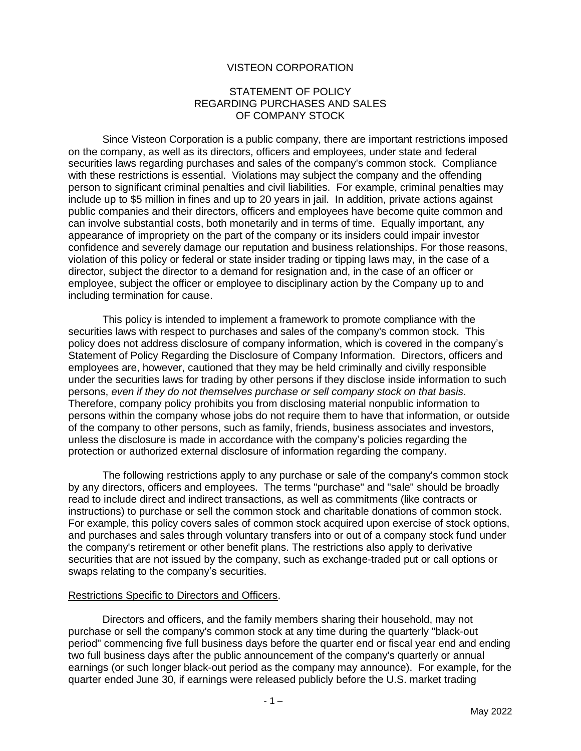## VISTEON CORPORATION

#### STATEMENT OF POLICY REGARDING PURCHASES AND SALES OF COMPANY STOCK

Since Visteon Corporation is a public company, there are important restrictions imposed on the company, as well as its directors, officers and employees, under state and federal securities laws regarding purchases and sales of the company's common stock. Compliance with these restrictions is essential. Violations may subject the company and the offending person to significant criminal penalties and civil liabilities. For example, criminal penalties may include up to \$5 million in fines and up to 20 years in jail. In addition, private actions against public companies and their directors, officers and employees have become quite common and can involve substantial costs, both monetarily and in terms of time. Equally important, any appearance of impropriety on the part of the company or its insiders could impair investor confidence and severely damage our reputation and business relationships. For those reasons, violation of this policy or federal or state insider trading or tipping laws may, in the case of a director, subject the director to a demand for resignation and, in the case of an officer or employee, subject the officer or employee to disciplinary action by the Company up to and including termination for cause.

This policy is intended to implement a framework to promote compliance with the securities laws with respect to purchases and sales of the company's common stock. This policy does not address disclosure of company information, which is covered in the company's Statement of Policy Regarding the Disclosure of Company Information. Directors, officers and employees are, however, cautioned that they may be held criminally and civilly responsible under the securities laws for trading by other persons if they disclose inside information to such persons, *even if they do not themselves purchase or sell company stock on that basis*. Therefore, company policy prohibits you from disclosing material nonpublic information to persons within the company whose jobs do not require them to have that information, or outside of the company to other persons, such as family, friends, business associates and investors, unless the disclosure is made in accordance with the company's policies regarding the protection or authorized external disclosure of information regarding the company.

The following restrictions apply to any purchase or sale of the company's common stock by any directors, officers and employees. The terms "purchase" and "sale" should be broadly read to include direct and indirect transactions, as well as commitments (like contracts or instructions) to purchase or sell the common stock and charitable donations of common stock. For example, this policy covers sales of common stock acquired upon exercise of stock options, and purchases and sales through voluntary transfers into or out of a company stock fund under the company's retirement or other benefit plans. The restrictions also apply to derivative securities that are not issued by the company, such as exchange-traded put or call options or swaps relating to the company's securities.

#### Restrictions Specific to Directors and Officers.

Directors and officers, and the family members sharing their household, may not purchase or sell the company's common stock at any time during the quarterly "black-out period" commencing five full business days before the quarter end or fiscal year end and ending two full business days after the public announcement of the company's quarterly or annual earnings (or such longer black-out period as the company may announce). For example, for the quarter ended June 30, if earnings were released publicly before the U.S. market trading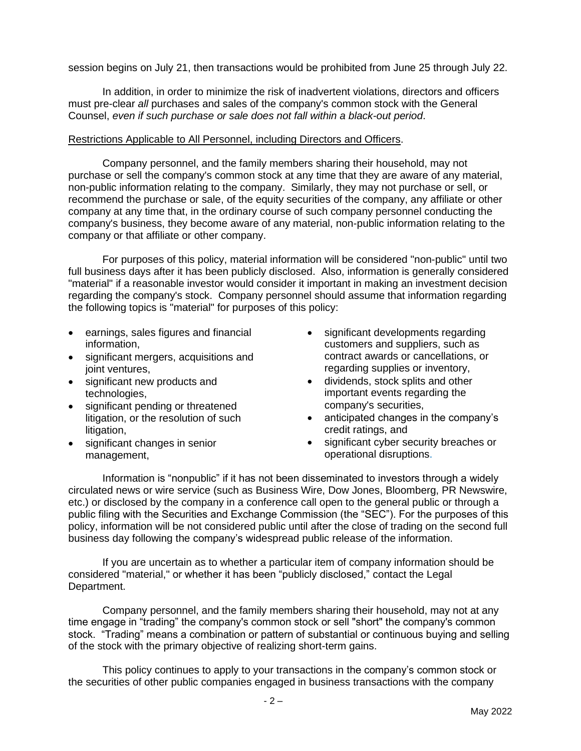session begins on July 21, then transactions would be prohibited from June 25 through July 22.

In addition, in order to minimize the risk of inadvertent violations, directors and officers must pre-clear *all* purchases and sales of the company's common stock with the General Counsel, *even if such purchase or sale does not fall within a black-out period*.

#### Restrictions Applicable to All Personnel, including Directors and Officers.

Company personnel, and the family members sharing their household, may not purchase or sell the company's common stock at any time that they are aware of any material, non-public information relating to the company. Similarly, they may not purchase or sell, or recommend the purchase or sale, of the equity securities of the company, any affiliate or other company at any time that, in the ordinary course of such company personnel conducting the company's business, they become aware of any material, non-public information relating to the company or that affiliate or other company.

For purposes of this policy, material information will be considered "non-public" until two full business days after it has been publicly disclosed. Also, information is generally considered "material" if a reasonable investor would consider it important in making an investment decision regarding the company's stock. Company personnel should assume that information regarding the following topics is "material" for purposes of this policy:

- earnings, sales figures and financial information,
- significant mergers, acquisitions and joint ventures,
- significant new products and technologies,
- significant pending or threatened litigation, or the resolution of such litigation,
- significant changes in senior management,
- significant developments regarding customers and suppliers, such as contract awards or cancellations, or regarding supplies or inventory,
- dividends, stock splits and other important events regarding the company's securities,
- anticipated changes in the company's credit ratings, and
- significant cyber security breaches or operational disruptions.

Information is "nonpublic" if it has not been disseminated to investors through a widely circulated news or wire service (such as Business Wire, Dow Jones, Bloomberg, PR Newswire, etc.) or disclosed by the company in a conference call open to the general public or through a public filing with the Securities and Exchange Commission (the "SEC"). For the purposes of this policy, information will be not considered public until after the close of trading on the second full business day following the company's widespread public release of the information.

If you are uncertain as to whether a particular item of company information should be considered "material," or whether it has been "publicly disclosed," contact the Legal Department.

Company personnel, and the family members sharing their household, may not at any time engage in "trading" the company's common stock or sell "short" the company's common stock. "Trading" means a combination or pattern of substantial or continuous buying and selling of the stock with the primary objective of realizing short-term gains.

This policy continues to apply to your transactions in the company's common stock or the securities of other public companies engaged in business transactions with the company